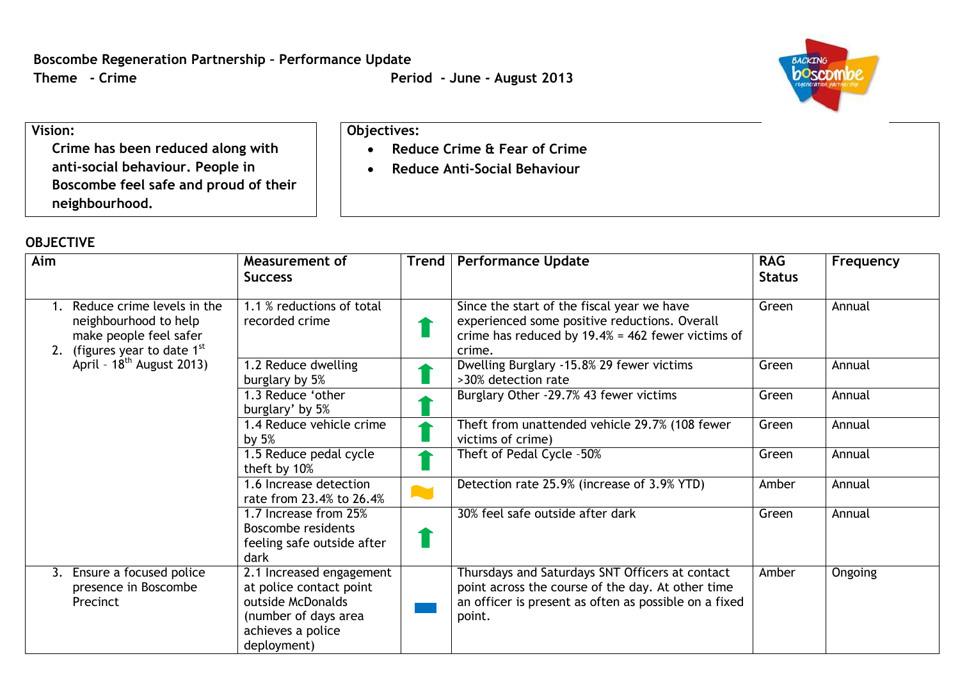**Reduce Crime & Fear of Crime Reduce Anti-Social Behaviour**

**Objectives:**



## **Vision:**

**Crime has been reduced along with anti-social behaviour. People in Boscombe feel safe and proud of their neighbourhood.**

## **OBJECTIVE**

| Aim |                                                                                                                                                   | Measurement of<br><b>Success</b>                                                                                                     | <b>Trend</b> | <b>Performance Update</b>                                                                                                                                               | <b>RAG</b><br><b>Status</b> | Frequency |
|-----|---------------------------------------------------------------------------------------------------------------------------------------------------|--------------------------------------------------------------------------------------------------------------------------------------|--------------|-------------------------------------------------------------------------------------------------------------------------------------------------------------------------|-----------------------------|-----------|
|     | Reduce crime levels in the<br>neighbourhood to help<br>make people feel safer<br>2. (figures year to date $1st$<br>April - $18^{th}$ August 2013) | 1.1 % reductions of total<br>recorded crime                                                                                          |              | Since the start of the fiscal year we have<br>experienced some positive reductions. Overall<br>crime has reduced by $19.4\% = 462$ fewer victims of<br>crime.           | Green                       | Annual    |
|     |                                                                                                                                                   | 1.2 Reduce dwelling<br>burglary by 5%                                                                                                |              | Dwelling Burglary -15.8% 29 fewer victims<br>>30% detection rate                                                                                                        | Green                       | Annual    |
|     |                                                                                                                                                   | 1.3 Reduce 'other<br>burglary' by 5%                                                                                                 |              | Burglary Other -29.7% 43 fewer victims                                                                                                                                  | Green                       | Annual    |
|     |                                                                                                                                                   | 1.4 Reduce vehicle crime<br>by $5%$                                                                                                  |              | Theft from unattended vehicle 29.7% (108 fewer<br>victims of crime)                                                                                                     | Green                       | Annual    |
|     |                                                                                                                                                   | 1.5 Reduce pedal cycle<br>theft by 10%                                                                                               |              | Theft of Pedal Cycle -50%                                                                                                                                               | Green                       | Annual    |
|     |                                                                                                                                                   | 1.6 Increase detection<br>rate from 23.4% to 26.4%                                                                                   |              | Detection rate 25.9% (increase of 3.9% YTD)                                                                                                                             | Amber                       | Annual    |
|     |                                                                                                                                                   | 1.7 Increase from 25%<br>Boscombe residents<br>feeling safe outside after<br>dark                                                    |              | 30% feel safe outside after dark                                                                                                                                        | Green                       | Annual    |
|     | 3. Ensure a focused police<br>presence in Boscombe<br>Precinct                                                                                    | 2.1 Increased engagement<br>at police contact point<br>outside McDonalds<br>(number of days area<br>achieves a police<br>deployment) |              | Thursdays and Saturdays SNT Officers at contact<br>point across the course of the day. At other time<br>an officer is present as often as possible on a fixed<br>point. | Amber                       | Ongoing   |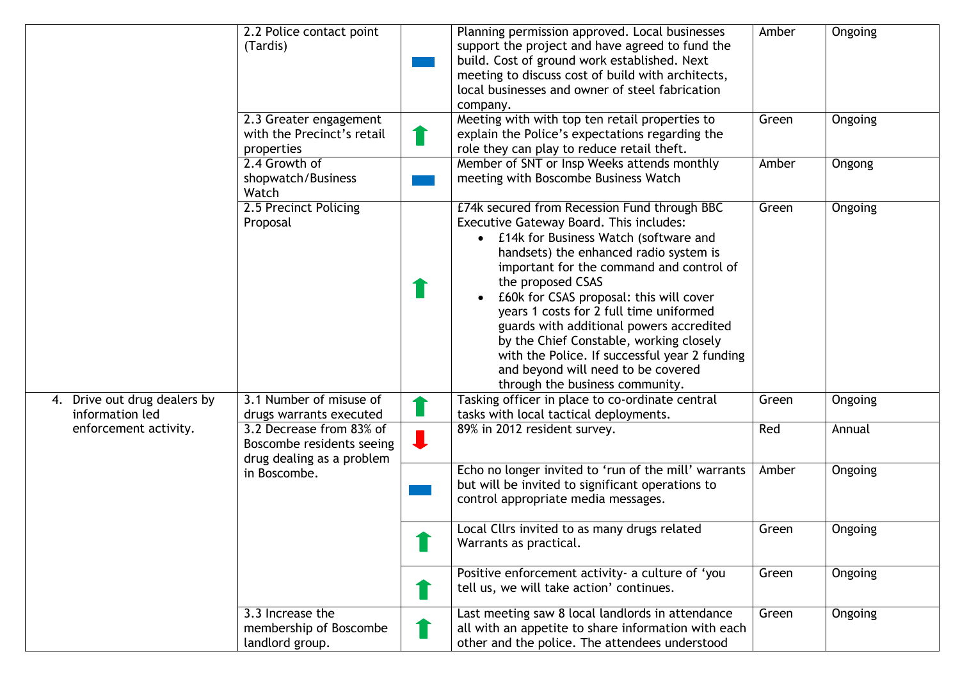|                                                 | 2.2 Police contact point<br>(Tardis)                                               | Planning permission approved. Local businesses<br>support the project and have agreed to fund the<br>build. Cost of ground work established. Next<br>meeting to discuss cost of build with architects,<br>local businesses and owner of steel fabrication<br>company.                                                                                                                                                                                                                                                                                | Amber | Ongoing        |
|-------------------------------------------------|------------------------------------------------------------------------------------|------------------------------------------------------------------------------------------------------------------------------------------------------------------------------------------------------------------------------------------------------------------------------------------------------------------------------------------------------------------------------------------------------------------------------------------------------------------------------------------------------------------------------------------------------|-------|----------------|
|                                                 | 2.3 Greater engagement<br>with the Precinct's retail<br>properties                 | Meeting with with top ten retail properties to<br>explain the Police's expectations regarding the<br>role they can play to reduce retail theft.                                                                                                                                                                                                                                                                                                                                                                                                      | Green | <b>Ongoing</b> |
|                                                 | 2.4 Growth of<br>shopwatch/Business<br>Watch                                       | Member of SNT or Insp Weeks attends monthly<br>meeting with Boscombe Business Watch                                                                                                                                                                                                                                                                                                                                                                                                                                                                  | Amber | Ongong         |
|                                                 | 2.5 Precinct Policing<br>Proposal                                                  | £74k secured from Recession Fund through BBC<br>Executive Gateway Board. This includes:<br>• £14k for Business Watch (software and<br>handsets) the enhanced radio system is<br>important for the command and control of<br>the proposed CSAS<br>£60k for CSAS proposal: this will cover<br>years 1 costs for 2 full time uniformed<br>guards with additional powers accredited<br>by the Chief Constable, working closely<br>with the Police. If successful year 2 funding<br>and beyond will need to be covered<br>through the business community. | Green | Ongoing        |
| 4. Drive out drug dealers by<br>information led | 3.1 Number of misuse of<br>drugs warrants executed                                 | Tasking officer in place to co-ordinate central<br>tasks with local tactical deployments.                                                                                                                                                                                                                                                                                                                                                                                                                                                            | Green | <b>Ongoing</b> |
| enforcement activity.                           | 3.2 Decrease from 83% of<br>Boscombe residents seeing<br>drug dealing as a problem | 89% in 2012 resident survey.                                                                                                                                                                                                                                                                                                                                                                                                                                                                                                                         | Red   | Annual         |
|                                                 | in Boscombe.                                                                       | Echo no longer invited to 'run of the mill' warrants<br>but will be invited to significant operations to<br>control appropriate media messages.                                                                                                                                                                                                                                                                                                                                                                                                      | Amber | Ongoing        |
|                                                 |                                                                                    | Local Cllrs invited to as many drugs related<br>Warrants as practical.                                                                                                                                                                                                                                                                                                                                                                                                                                                                               | Green | Ongoing        |
|                                                 |                                                                                    | Positive enforcement activity- a culture of 'you<br>tell us, we will take action' continues.                                                                                                                                                                                                                                                                                                                                                                                                                                                         | Green | Ongoing        |
|                                                 | 3.3 Increase the<br>membership of Boscombe<br>landlord group.                      | Last meeting saw 8 local landlords in attendance<br>all with an appetite to share information with each<br>other and the police. The attendees understood                                                                                                                                                                                                                                                                                                                                                                                            | Green | Ongoing        |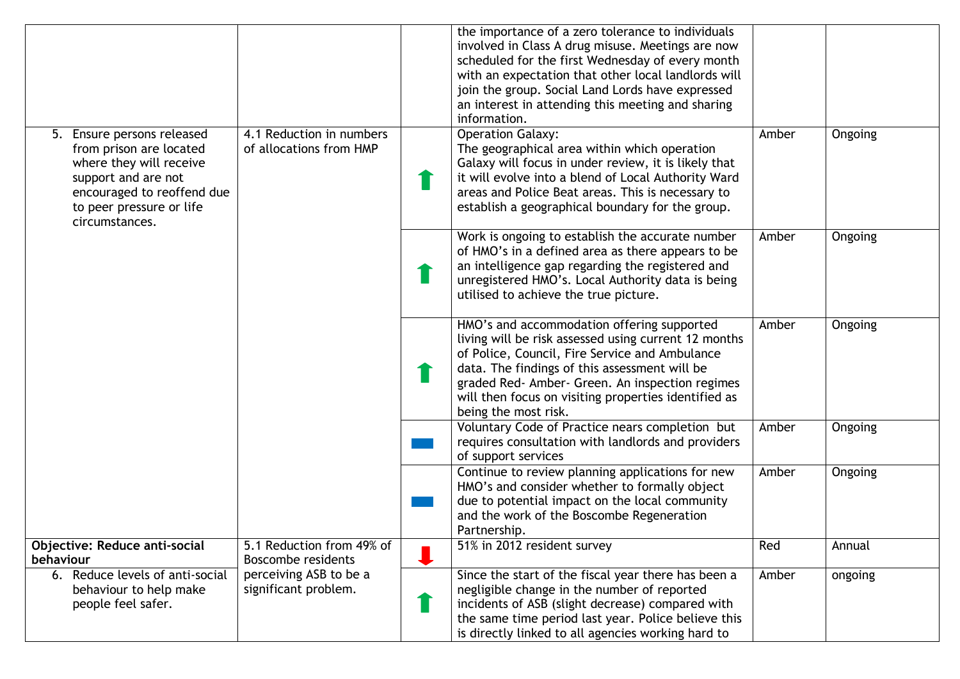|                                                                                                                                                                                     |                                                     | the importance of a zero tolerance to individuals<br>involved in Class A drug misuse. Meetings are now<br>scheduled for the first Wednesday of every month<br>with an expectation that other local landlords will<br>join the group. Social Land Lords have expressed<br>an interest in attending this meeting and sharing<br>information. |       |         |
|-------------------------------------------------------------------------------------------------------------------------------------------------------------------------------------|-----------------------------------------------------|--------------------------------------------------------------------------------------------------------------------------------------------------------------------------------------------------------------------------------------------------------------------------------------------------------------------------------------------|-------|---------|
| 5. Ensure persons released<br>from prison are located<br>where they will receive<br>support and are not<br>encouraged to reoffend due<br>to peer pressure or life<br>circumstances. | 4.1 Reduction in numbers<br>of allocations from HMP | <b>Operation Galaxy:</b><br>The geographical area within which operation<br>Galaxy will focus in under review, it is likely that<br>it will evolve into a blend of Local Authority Ward<br>areas and Police Beat areas. This is necessary to<br>establish a geographical boundary for the group.                                           | Amber | Ongoing |
|                                                                                                                                                                                     |                                                     | Work is ongoing to establish the accurate number<br>of HMO's in a defined area as there appears to be<br>an intelligence gap regarding the registered and<br>unregistered HMO's. Local Authority data is being<br>utilised to achieve the true picture.                                                                                    | Amber | Ongoing |
|                                                                                                                                                                                     |                                                     | HMO's and accommodation offering supported<br>living will be risk assessed using current 12 months<br>of Police, Council, Fire Service and Ambulance<br>data. The findings of this assessment will be<br>graded Red- Amber- Green. An inspection regimes<br>will then focus on visiting properties identified as<br>being the most risk.   | Amber | Ongoing |
|                                                                                                                                                                                     |                                                     | Voluntary Code of Practice nears completion but<br>requires consultation with landlords and providers<br>of support services                                                                                                                                                                                                               | Amber | Ongoing |
|                                                                                                                                                                                     |                                                     | Continue to review planning applications for new<br>HMO's and consider whether to formally object<br>due to potential impact on the local community<br>and the work of the Boscombe Regeneration<br>Partnership.                                                                                                                           | Amber | Ongoing |
| <b>Objective: Reduce anti-social</b><br>behaviour                                                                                                                                   | 5.1 Reduction from 49% of<br>Boscombe residents     | 51% in 2012 resident survey                                                                                                                                                                                                                                                                                                                | Red   | Annual  |
| 6. Reduce levels of anti-social<br>behaviour to help make<br>people feel safer.                                                                                                     | perceiving ASB to be a<br>significant problem.      | Since the start of the fiscal year there has been a<br>negligible change in the number of reported<br>incidents of ASB (slight decrease) compared with<br>the same time period last year. Police believe this<br>is directly linked to all agencies working hard to                                                                        | Amber | ongoing |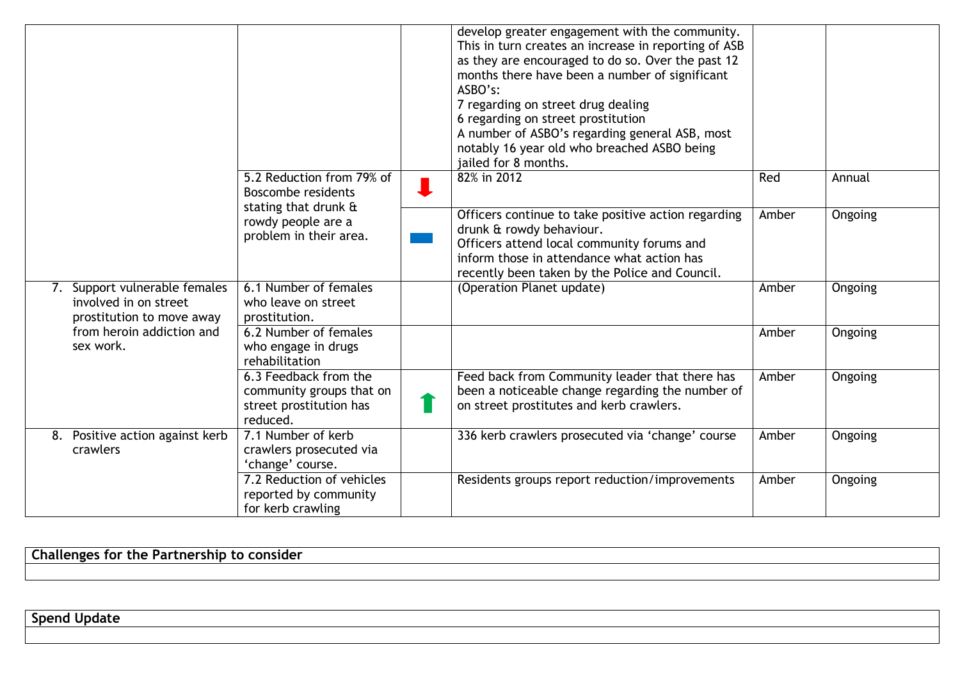|                                                                                     |                                                                                          | develop greater engagement with the community.<br>This in turn creates an increase in reporting of ASB<br>as they are encouraged to do so. Over the past 12<br>months there have been a number of significant<br>ASBO's:<br>7 regarding on street drug dealing<br>6 regarding on street prostitution<br>A number of ASBO's regarding general ASB, most<br>notably 16 year old who breached ASBO being<br>jailed for 8 months. |       |                |
|-------------------------------------------------------------------------------------|------------------------------------------------------------------------------------------|-------------------------------------------------------------------------------------------------------------------------------------------------------------------------------------------------------------------------------------------------------------------------------------------------------------------------------------------------------------------------------------------------------------------------------|-------|----------------|
|                                                                                     | 5.2 Reduction from 79% of<br>Boscombe residents                                          | 82% in 2012                                                                                                                                                                                                                                                                                                                                                                                                                   | Red   | Annual         |
|                                                                                     | stating that drunk &<br>rowdy people are a<br>problem in their area.                     | Officers continue to take positive action regarding<br>drunk & rowdy behaviour.<br>Officers attend local community forums and<br>inform those in attendance what action has<br>recently been taken by the Police and Council.                                                                                                                                                                                                 | Amber | <b>Ongoing</b> |
| 7. Support vulnerable females<br>involved in on street<br>prostitution to move away | 6.1 Number of females<br>who leave on street<br>prostitution.                            | (Operation Planet update)                                                                                                                                                                                                                                                                                                                                                                                                     | Amber | Ongoing        |
| from heroin addiction and<br>sex work.                                              | 6.2 Number of females<br>who engage in drugs<br>rehabilitation                           |                                                                                                                                                                                                                                                                                                                                                                                                                               | Amber | Ongoing        |
|                                                                                     | 6.3 Feedback from the<br>community groups that on<br>street prostitution has<br>reduced. | Feed back from Community leader that there has<br>been a noticeable change regarding the number of<br>on street prostitutes and kerb crawlers.                                                                                                                                                                                                                                                                                | Amber | <b>Ongoing</b> |
| 8. Positive action against kerb<br>crawlers                                         | 7.1 Number of kerb<br>crawlers prosecuted via<br>'change' course.                        | 336 kerb crawlers prosecuted via 'change' course                                                                                                                                                                                                                                                                                                                                                                              | Amber | Ongoing        |
|                                                                                     | 7.2 Reduction of vehicles<br>reported by community<br>for kerb crawling                  | Residents groups report reduction/improvements                                                                                                                                                                                                                                                                                                                                                                                | Amber | Ongoing        |

**Challenges for the Partnership to consider**

**Spend Update**